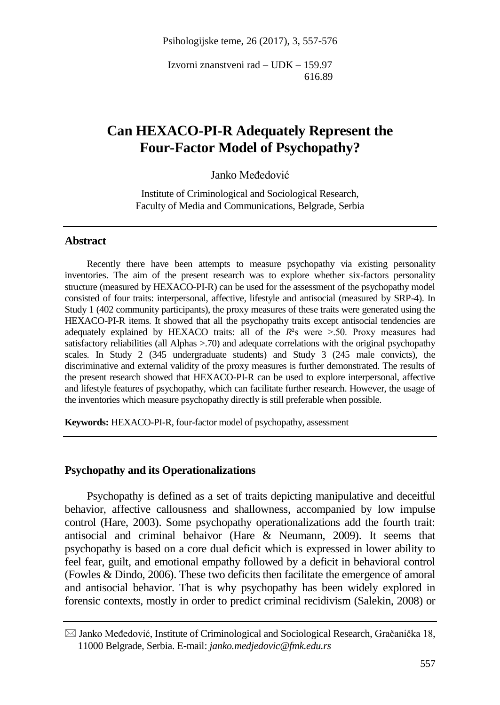Psihologijske teme, 26 (2017), 3, 557-576

Izvorni znanstveni rad – UDK – 159.97 616.89

# **Can HEXACO-PI-R Adequately Represent the Four-Factor Model of Psychopathy?**

Janko Međedović

Institute of Criminological and Sociological Research, Faculty of Media and Communications, Belgrade, Serbia

## **Abstract**

Recently there have been attempts to measure psychopathy via existing personality inventories. The aim of the present research was to explore whether six-factors personality structure (measured by HEXACO-PI-R) can be used for the assessment of the psychopathy model consisted of four traits: interpersonal, affective, lifestyle and antisocial (measured by SRP-4). In Study 1 (402 community participants), the proxy measures of these traits were generated using the HEXACO-PI-R items. It showed that all the psychopathy traits except antisocial tendencies are adequately explained by HEXACO traits: all of the  $R<sup>2</sup>$ s were  $> 0.50$ . Proxy measures had satisfactory reliabilities (all Alphas > 70) and adequate correlations with the original psychopathy scales. In Study 2 (345 undergraduate students) and Study 3 (245 male convicts), the discriminative and external validity of the proxy measures is further demonstrated. The results of the present research showed that HEXACO-PI-R can be used to explore interpersonal, affective and lifestyle features of psychopathy, which can facilitate further research. However, the usage of the inventories which measure psychopathy directly is still preferable when possible.

**Keywords:** HEXACO-PI-R, four-factor model of psychopathy, assessment

#### **Psychopathy and its Operationalizations**

Psychopathy is defined as a set of traits depicting manipulative and deceitful behavior, affective callousness and shallowness, accompanied by low impulse control (Hare, 2003). Some psychopathy operationalizations add the fourth trait: antisocial and criminal behaivor (Hare & Neumann, 2009). It seems that psychopathy is based on a core dual deficit which is expressed in lower ability to feel fear, guilt, and emotional empathy followed by a deficit in behavioral control (Fowles & Dindo, 2006). These two deficits then facilitate the emergence of amoral and antisocial behavior. That is why psychopathy has been widely explored in forensic contexts, mostly in order to predict criminal recidivism (Salekin, 2008) or

 $\boxtimes$  Janko Međedović, Institute of Criminological and Sociological Research, Gračanička 18, 11000 Belgrade, Serbia. E-mail: *janko.medjedovic@fmk.edu.rs*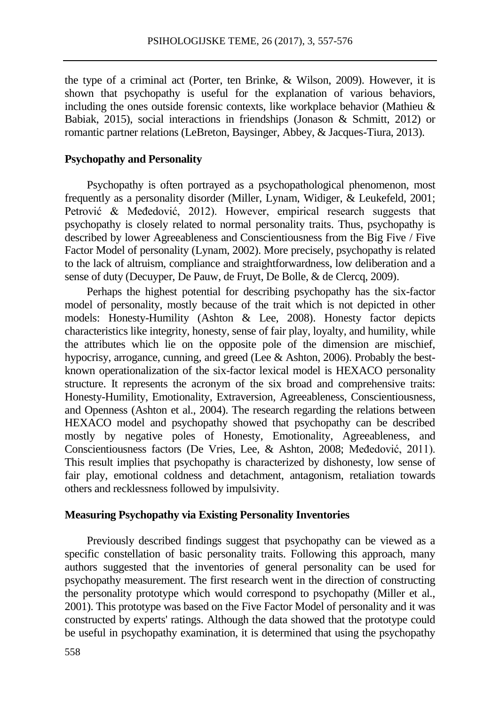the type of a criminal act (Porter, ten Brinke, & Wilson, 2009). However, it is shown that psychopathy is useful for the explanation of various behaviors, including the ones outside forensic contexts, like workplace behavior (Mathieu & Babiak, 2015), social interactions in friendships (Jonason & Schmitt, 2012) or romantic partner relations (LeBreton, Baysinger, Abbey, & Jacques-Tiura, 2013).

## **Psychopathy and Personality**

Psychopathy is often portrayed as a psychopathological phenomenon, most frequently as a personality disorder (Miller, Lynam, Widiger, & Leukefeld, 2001; Petrović & Međedović, 2012). However, empirical research suggests that psychopathy is closely related to normal personality traits. Thus, psychopathy is described by lower Agreeableness and Conscientiousness from the Big Five / Five Factor Model of personality (Lynam, 2002). More precisely, psychopathy is related to the lack of altruism, compliance and straightforwardness, low deliberation and a sense of duty (Decuyper, De Pauw, de Fruyt, De Bolle, & de Clercq, 2009).

Perhaps the highest potential for describing psychopathy has the six-factor model of personality, mostly because of the trait which is not depicted in other models: Honesty-Humility (Ashton & Lee, 2008). Honesty factor depicts characteristics like integrity, honesty, sense of fair play, loyalty, and humility, while the attributes which lie on the opposite pole of the dimension are mischief, hypocrisy, arrogance, cunning, and greed (Lee & Ashton, 2006). Probably the bestknown operationalization of the six-factor lexical model is HEXACO personality structure. It represents the acronym of the six broad and comprehensive traits: Honesty-Humility, Emotionality, Extraversion, Agreeableness, Conscientiousness, and Openness (Ashton et al., 2004). The research regarding the relations between HEXACO model and psychopathy showed that psychopathy can be described mostly by negative poles of Honesty, Emotionality, Agreeableness, and Conscientiousness factors (De Vries, Lee, & Ashton, 2008; Međedović, 2011). This result implies that psychopathy is characterized by dishonesty, low sense of fair play, emotional coldness and detachment, antagonism, retaliation towards others and recklessness followed by impulsivity.

#### **Measuring Psychopathy via Existing Personality Inventories**

Previously described findings suggest that psychopathy can be viewed as a specific constellation of basic personality traits. Following this approach, many authors suggested that the inventories of general personality can be used for psychopathy measurement. The first research went in the direction of constructing the personality prototype which would correspond to psychopathy (Miller et al., 2001). This prototype was based on the Five Factor Model of personality and it was constructed by experts' ratings. Although the data showed that the prototype could be useful in psychopathy examination, it is determined that using the psychopathy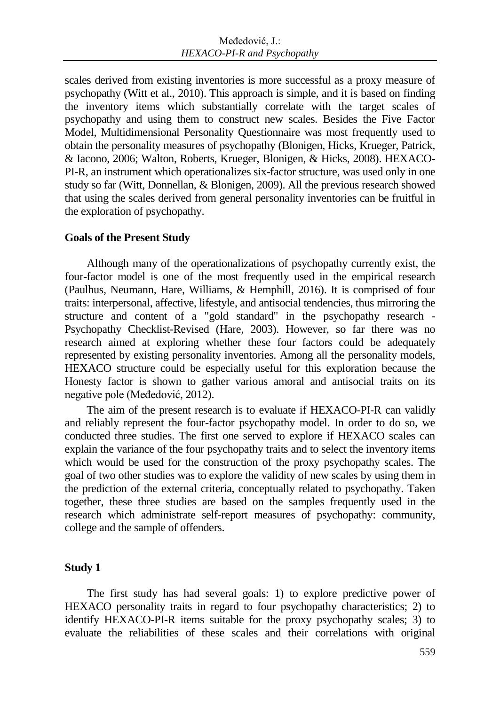scales derived from existing inventories is more successful as a proxy measure of psychopathy (Witt et al., 2010). This approach is simple, and it is based on finding the inventory items which substantially correlate with the target scales of psychopathy and using them to construct new scales. Besides the Five Factor Model, Multidimensional Personality Questionnaire was most frequently used to obtain the personality measures of psychopathy (Blonigen, Hicks, Krueger, Patrick, & Iacono, 2006; Walton, Roberts, Krueger, Blonigen, & Hicks, 2008). HEXACO-PI-R, an instrument which operationalizes six-factor structure, was used only in one study so far (Witt, Donnellan, & Blonigen, 2009). All the previous research showed that using the scales derived from general personality inventories can be fruitful in the exploration of psychopathy.

### **Goals of the Present Study**

Although many of the operationalizations of psychopathy currently exist, the four-factor model is one of the most frequently used in the empirical research (Paulhus, Neumann, Hare, Williams, & Hemphill, 2016). It is comprised of four traits: interpersonal, affective, lifestyle, and antisocial tendencies, thus mirroring the structure and content of a "gold standard" in the psychopathy research - Psychopathy Checklist-Revised (Hare, 2003). However, so far there was no research aimed at exploring whether these four factors could be adequately represented by existing personality inventories. Among all the personality models, HEXACO structure could be especially useful for this exploration because the Honesty factor is shown to gather various amoral and antisocial traits on its negative pole (Međedović, 2012).

The aim of the present research is to evaluate if HEXACO-PI-R can validly and reliably represent the four-factor psychopathy model. In order to do so, we conducted three studies. The first one served to explore if HEXACO scales can explain the variance of the four psychopathy traits and to select the inventory items which would be used for the construction of the proxy psychopathy scales. The goal of two other studies was to explore the validity of new scales by using them in the prediction of the external criteria, conceptually related to psychopathy. Taken together, these three studies are based on the samples frequently used in the research which administrate self-report measures of psychopathy: community, college and the sample of offenders.

### **Study 1**

The first study has had several goals: 1) to explore predictive power of HEXACO personality traits in regard to four psychopathy characteristics; 2) to identify HEXACO-PI-R items suitable for the proxy psychopathy scales; 3) to evaluate the reliabilities of these scales and their correlations with original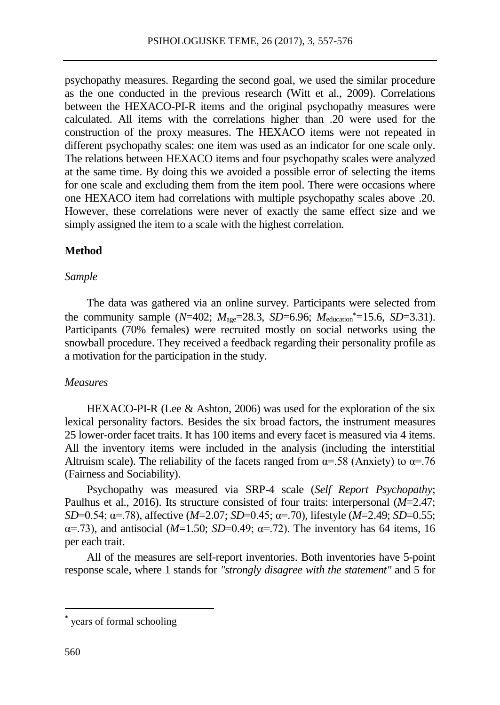psychopathy measures. Regarding the second goal, we used the similar procedure as the one conducted in the previous research (Witt et al., 2009). Correlations between the HEXACO-PI-R items and the original psychopathy measures were calculated. All items with the correlations higher than .20 were used for the construction of the proxy measures. The HEXACO items were not repeated in different psychopathy scales: one item was used as an indicator for one scale only. The relations between HEXACO items and four psychopathy scales were analyzed at the same time. By doing this we avoided a possible error of selecting the items for one scale and excluding them from the item pool. There were occasions where one HEXACO item had correlations with multiple psychopathy scales above .20. However, these correlations were never of exactly the same effect size and we simply assigned the item to a scale with the highest correlation.

## **Method**

#### *Sample*

The data was gathered via an online survey. Participants were selected from the community sample ( $N=402$ ;  $M_{\text{age}}=28.3$ ,  $SD=6.96$ ;  $M_{\text{education}}=15.6$ ,  $SD=3.31$ ). Participants (70% females) were recruited mostly on social networks using the snowball procedure. They received a feedback regarding their personality profile as a motivation for the participation in the study.

## *Measures*

HEXACO-PI-R (Lee & Ashton, 2006) was used for the exploration of the six lexical personality factors. Besides the six broad factors, the instrument measures 25 lower-order facet traits. It has 100 items and every facet is measured via 4 items. All the inventory items were included in the analysis (including the interstitial Altruism scale). The reliability of the facets ranged from  $\alpha$ =.58 (Anxiety) to  $\alpha$ =.76 (Fairness and Sociability).

Psychopathy was measured via SRP-4 scale (*Self Report Psychopathy*; Paulhus et al., 2016). Its structure consisted of four traits: interpersonal (*M*=2.47; *SD*=0.54; α=.78), affective (*M*=2.07; *SD*=0.45; α=.70), lifestyle (*M*=2.49; *SD*=0.55;  $\alpha$ =.73), and antisocial (*M*=1.50; *SD*=0.49;  $\alpha$ =.72). The inventory has 64 items, 16 per each trait.

All of the measures are self-report inventories. Both inventories have 5-point response scale, where 1 stands for *"strongly disagree with the statement"* and 5 for

 $\overline{a}$ 

<sup>\*</sup> years of formal schooling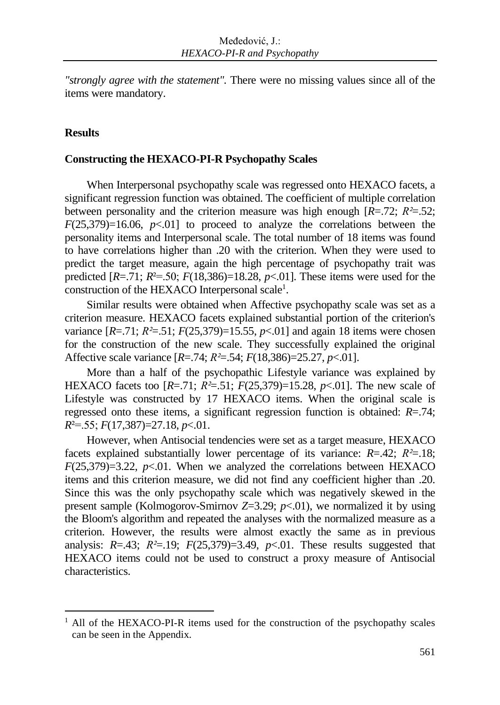*"strongly agree with the statement".* There were no missing values since all of the items were mandatory.

## **Results**

 $\overline{a}$ 

## **Constructing the HEXACO-PI-R Psychopathy Scales**

When Interpersonal psychopathy scale was regressed onto HEXACO facets, a significant regression function was obtained. The coefficient of multiple correlation between personality and the criterion measure was high enough  $[R=.72; R^2=.52;$  $F(25,379)=16.06$ ,  $p<.01$  to proceed to analyze the correlations between the personality items and Interpersonal scale. The total number of 18 items was found to have correlations higher than .20 with the criterion. When they were used to predict the target measure, again the high percentage of psychopathy trait was predicted  $[R=.71; R^2=.50; F(18,386)=18.28, p<.01]$ . These items were used for the construction of the HEXACO Interpersonal scale<sup>1</sup>.

Similar results were obtained when Affective psychopathy scale was set as a criterion measure. HEXACO facets explained substantial portion of the criterion's variance  $[R=.71; R^2=.51; F(25,379)=15.55, p<.01]$  and again 18 items were chosen for the construction of the new scale. They successfully explained the original Affective scale variance [*R*=.74; *R²*=.54; *F*(18,386)=25.27, *p*<.01].

More than a half of the psychopathic Lifestyle variance was explained by HEXACO facets too [*R*=.71; *R²*=.51; *F*(25,379)=15.28, *p*<.01]. The new scale of Lifestyle was constructed by 17 HEXACO items. When the original scale is regressed onto these items, a significant regression function is obtained: *R*=.74; *R*²=.55; *F*(17,387)=27.18, *p*<.01.

However, when Antisocial tendencies were set as a target measure, HEXACO facets explained substantially lower percentage of its variance: *R*=.42; *R²*=.18;  $F(25,379)=3.22$ ,  $p<.01$ . When we analyzed the correlations between HEXACO items and this criterion measure, we did not find any coefficient higher than .20. Since this was the only psychopathy scale which was negatively skewed in the present sample (Kolmogorov-Smirnov  $Z=3.29$ ;  $p<.01$ ), we normalized it by using the Bloom's algorithm and repeated the analyses with the normalized measure as a criterion. However, the results were almost exactly the same as in previous analysis:  $R = .43$ ;  $R^2 = .19$ ;  $F(25,379) = 3.49$ ,  $p < .01$ . These results suggested that HEXACO items could not be used to construct a proxy measure of Antisocial characteristics.

 $<sup>1</sup>$  All of the HEXACO-PI-R items used for the construction of the psychopathy scales</sup> can be seen in the Appendix.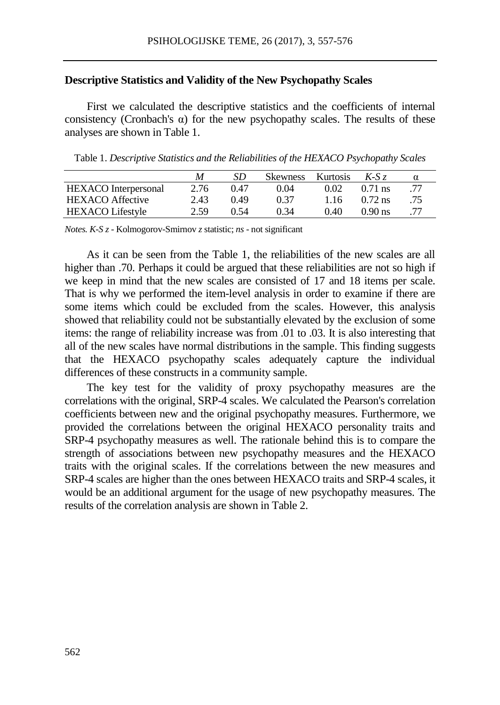## **Descriptive Statistics and Validity of the New Psychopathy Scales**

First we calculated the descriptive statistics and the coefficients of internal consistency (Cronbach's  $\alpha$ ) for the new psychopathy scales. The results of these analyses are shown in Table 1.

Table 1. *Descriptive Statistics and the Reliabilities of the HEXACO Psychopathy Scales*

|                             |      | SD    | <b>Skewness</b> | Kurtosis | $K-Sz$     |    |
|-----------------------------|------|-------|-----------------|----------|------------|----|
| <b>HEXACO</b> Interpersonal | 2.76 | 0.47  | 0.04            | 0.02     | $0.71$ ns  |    |
| <b>HEXACO</b> Affective     | 2.43 | 0.49  | 0.37            | 1.16     | $0.72$ ns  | 75 |
| <b>HEXACO Lifestyle</b>     | 2.59 | () 54 | 0.34            | 0.40     | $0.90$ ns. |    |

*Notes. K-S z* - Kolmogorov-Smirnov *z* statistic; *ns* - not significant

As it can be seen from the Table 1, the reliabilities of the new scales are all higher than .70. Perhaps it could be argued that these reliabilities are not so high if we keep in mind that the new scales are consisted of 17 and 18 items per scale. That is why we performed the item-level analysis in order to examine if there are some items which could be excluded from the scales. However, this analysis showed that reliability could not be substantially elevated by the exclusion of some items: the range of reliability increase was from .01 to .03. It is also interesting that all of the new scales have normal distributions in the sample. This finding suggests that the HEXACO psychopathy scales adequately capture the individual differences of these constructs in a community sample.

The key test for the validity of proxy psychopathy measures are the correlations with the original, SRP-4 scales. We calculated the Pearson's correlation coefficients between new and the original psychopathy measures. Furthermore, we provided the correlations between the original HEXACO personality traits and SRP-4 psychopathy measures as well. The rationale behind this is to compare the strength of associations between new psychopathy measures and the HEXACO traits with the original scales. If the correlations between the new measures and SRP-4 scales are higher than the ones between HEXACO traits and SRP-4 scales, it would be an additional argument for the usage of new psychopathy measures. The results of the correlation analysis are shown in Table 2.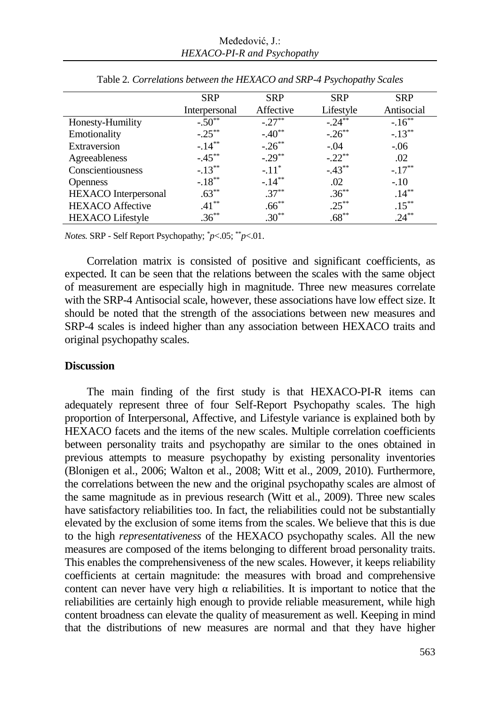| Međedović, J.:              |
|-----------------------------|
| HEXACO-PI-R and Psychopathy |

|                             | <b>SRP</b>    | <b>SRP</b>          | <b>SRP</b> | <b>SRP</b> |
|-----------------------------|---------------|---------------------|------------|------------|
|                             | Interpersonal | Affective           | Lifestyle  | Antisocial |
| Honesty-Humility            | $-.50**$      | $-.27**$            | $-.24***$  | $-.16***$  |
| Emotionality                | $-.25***$     | $-.40**$            | $-.26***$  | $-.13***$  |
| Extraversion                | $-.14**$      | $-.26***$           | $-.04$     | $-.06$     |
| Agreeableness               | $-.45***$     | $-.29***$           | $-22^{**}$ | .02        |
| Conscientiousness           | $-.13***$     | $-.11$ <sup>*</sup> | $-.43***$  | $-.17***$  |
| <b>Openness</b>             | $-.18***$     | $-.14***$           | .02        | $-.10$     |
| <b>HEXACO</b> Interpersonal | $.63***$      | $.37***$            | $.36***$   | $.14***$   |
| <b>HEXACO</b> Affective     | $.41***$      | $.66***$            | $.25***$   | $.15***$   |
| <b>HEXACO</b> Lifestyle     | $.36***$      | $.30**$             | $.68***$   | $.24***$   |

Table 2*. Correlations between the HEXACO and SRP-4 Psychopathy Scales*

*Notes.* SRP - Self Report Psychopathy; \**p*<.05; \*\**p*<.01.

Correlation matrix is consisted of positive and significant coefficients, as expected. It can be seen that the relations between the scales with the same object of measurement are especially high in magnitude. Three new measures correlate with the SRP-4 Antisocial scale, however, these associations have low effect size. It should be noted that the strength of the associations between new measures and SRP-4 scales is indeed higher than any association between HEXACO traits and original psychopathy scales.

### **Discussion**

The main finding of the first study is that HEXACO-PI-R items can adequately represent three of four Self-Report Psychopathy scales. The high proportion of Interpersonal, Affective, and Lifestyle variance is explained both by HEXACO facets and the items of the new scales. Multiple correlation coefficients between personality traits and psychopathy are similar to the ones obtained in previous attempts to measure psychopathy by existing personality inventories (Blonigen et al., 2006; Walton et al., 2008; Witt et al., 2009, 2010). Furthermore, the correlations between the new and the original psychopathy scales are almost of the same magnitude as in previous research (Witt et al., 2009). Three new scales have satisfactory reliabilities too. In fact, the reliabilities could not be substantially elevated by the exclusion of some items from the scales. We believe that this is due to the high *representativeness* of the HEXACO psychopathy scales. All the new measures are composed of the items belonging to different broad personality traits. This enables the comprehensiveness of the new scales. However, it keeps reliability coefficients at certain magnitude: the measures with broad and comprehensive content can never have very high  $\alpha$  reliabilities. It is important to notice that the reliabilities are certainly high enough to provide reliable measurement, while high content broadness can elevate the quality of measurement as well. Keeping in mind that the distributions of new measures are normal and that they have higher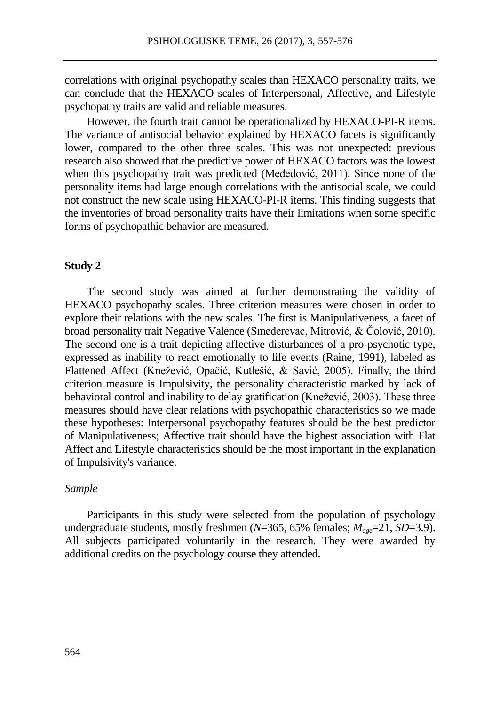correlations with original psychopathy scales than HEXACO personality traits, we can conclude that the HEXACO scales of Interpersonal, Affective, and Lifestyle psychopathy traits are valid and reliable measures.

However, the fourth trait cannot be operationalized by HEXACO-PI-R items. The variance of antisocial behavior explained by HEXACO facets is significantly lower, compared to the other three scales. This was not unexpected: previous research also showed that the predictive power of HEXACO factors was the lowest when this psychopathy trait was predicted (Međedović, 2011). Since none of the personality items had large enough correlations with the antisocial scale, we could not construct the new scale using HEXACO-PI-R items. This finding suggests that the inventories of broad personality traits have their limitations when some specific forms of psychopathic behavior are measured.

## **Study 2**

The second study was aimed at further demonstrating the validity of HEXACO psychopathy scales. Three criterion measures were chosen in order to explore their relations with the new scales. The first is Manipulativeness, a facet of broad personality trait Negative Valence (Smederevac, Mitrović, & Čolović, 2010). The second one is a trait depicting affective disturbances of a pro-psychotic type, expressed as inability to react emotionally to life events (Raine, 1991), labeled as Flattened Affect (Knežević, Opačić, Kutlešić, & Savić, 2005). Finally, the third criterion measure is Impulsivity, the personality characteristic marked by lack of behavioral control and inability to delay gratification (Knežević, 2003). These three measures should have clear relations with psychopathic characteristics so we made these hypotheses: Interpersonal psychopathy features should be the best predictor of Manipulativeness; Affective trait should have the highest association with Flat Affect and Lifestyle characteristics should be the most important in the explanation of Impulsivity's variance.

#### *Sample*

Participants in this study were selected from the population of psychology undergraduate students, mostly freshmen (*N*=365, 65% females;  $M_{age}$ =21, *SD*=3.9). All subjects participated voluntarily in the research. They were awarded by additional credits on the psychology course they attended.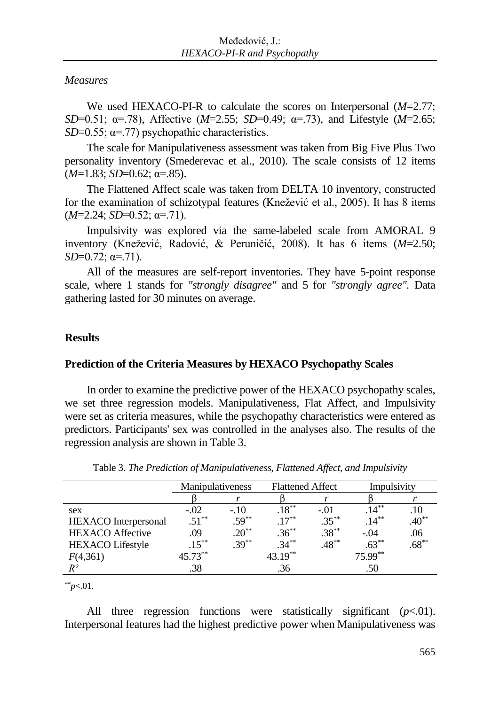## *Measures*

We used HEXACO-PI-R to calculate the scores on Interpersonal (*M*=2.77; *SD*=0.51; α=.78), Affective (*M*=2.55; *SD*=0.49; α=.73), and Lifestyle (*M*=2.65; *SD*=0.55;  $\alpha$ =.77) psychopathic characteristics.

The scale for Manipulativeness assessment was taken from Big Five Plus Two personality inventory (Smederevac et al., 2010). The scale consists of 12 items  $(M=1.83; SD=0.62; \alpha=.85)$ .

The Flattened Affect scale was taken from DELTA 10 inventory, constructed for the examination of schizotypal features (Knežević et al., 2005). It has 8 items (*M*=2.24; *SD*=0.52; α=.71).

Impulsivity was explored via the same-labeled scale from AMORAL 9 inventory (Knežević, Radović, & Peruničić, 2008). It has 6 items (*M*=2.50;  $SD=0.72$ ;  $\alpha = .71$ ).

All of the measures are self-report inventories. They have 5-point response scale, where 1 stands for *"strongly disagree"* and 5 for *"strongly agree".* Data gathering lasted for 30 minutes on average.

## **Results**

### **Prediction of the Criteria Measures by HEXACO Psychopathy Scales**

In order to examine the predictive power of the HEXACO psychopathy scales, we set three regression models. Manipulativeness, Flat Affect, and Impulsivity were set as criteria measures, while the psychopathy characteristics were entered as predictors. Participants' sex was controlled in the analyses also. The results of the regression analysis are shown in Table 3.

|                             | <b>Manipulativeness</b> |           | <b>Flattened Affect</b> |          | Impulsivity           |          |
|-----------------------------|-------------------------|-----------|-------------------------|----------|-----------------------|----------|
|                             |                         |           |                         |          |                       |          |
| sex                         | $-.02$                  | $-.10$    | $.18***$                | $-.01$   | $\overline{.14}^{**}$ |          |
| <b>HEXACO</b> Interpersonal | $.51***$                | $.59***$  | $17***$                 | $.35***$ | $.14***$              | $.40**$  |
| <b>HEXACO</b> Affective     | .09                     | $.20***$  | $.36***$                | $.38***$ | $-.04$                | .06      |
| <b>HEXACO</b> Lifestyle     | $.15***$                | $39^{**}$ | $.34***$                | $.48***$ | $.63***$              | $.68***$ |
| F(4,361)                    | 45.73**                 |           | $43.19***$              |          | 75.99**               |          |
| $R^2$                       | .38                     |           | .36                     |          | .50                   |          |

Table 3. *The Prediction of Manipulativeness, Flattened Affect, and Impulsivity*

\*\**p*<.01.

All three regression functions were statistically significant  $(p<.01)$ . Interpersonal features had the highest predictive power when Manipulativeness was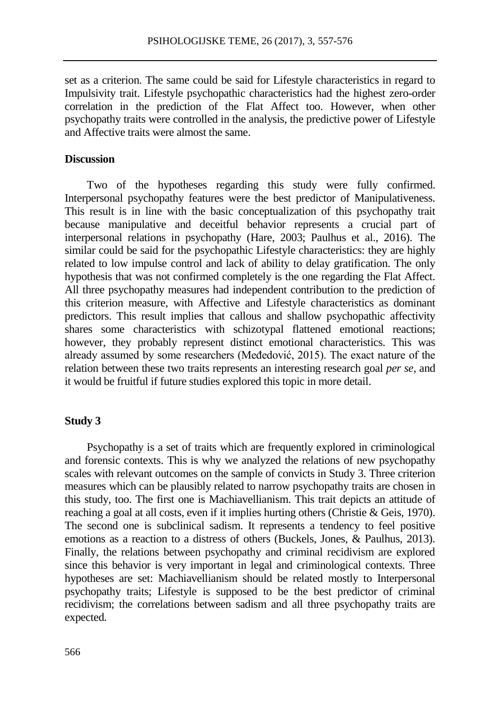set as a criterion. The same could be said for Lifestyle characteristics in regard to Impulsivity trait. Lifestyle psychopathic characteristics had the highest zero-order correlation in the prediction of the Flat Affect too. However, when other psychopathy traits were controlled in the analysis, the predictive power of Lifestyle and Affective traits were almost the same.

#### **Discussion**

Two of the hypotheses regarding this study were fully confirmed. Interpersonal psychopathy features were the best predictor of Manipulativeness. This result is in line with the basic conceptualization of this psychopathy trait because manipulative and deceitful behavior represents a crucial part of interpersonal relations in psychopathy (Hare, 2003; Paulhus et al., 2016). The similar could be said for the psychopathic Lifestyle characteristics: they are highly related to low impulse control and lack of ability to delay gratification. The only hypothesis that was not confirmed completely is the one regarding the Flat Affect. All three psychopathy measures had independent contribution to the prediction of this criterion measure, with Affective and Lifestyle characteristics as dominant predictors. This result implies that callous and shallow psychopathic affectivity shares some characteristics with schizotypal flattened emotional reactions; however, they probably represent distinct emotional characteristics. This was already assumed by some researchers (Međedović, 2015). The exact nature of the relation between these two traits represents an interesting research goal *per se*, and it would be fruitful if future studies explored this topic in more detail.

#### **Study 3**

Psychopathy is a set of traits which are frequently explored in criminological and forensic contexts. This is why we analyzed the relations of new psychopathy scales with relevant outcomes on the sample of convicts in Study 3. Three criterion measures which can be plausibly related to narrow psychopathy traits are chosen in this study, too. The first one is Machiavellianism. This trait depicts an attitude of reaching a goal at all costs, even if it implies hurting others (Christie & Geis, 1970). The second one is subclinical sadism. It represents a tendency to feel positive emotions as a reaction to a distress of others (Buckels, Jones, & Paulhus, 2013). Finally, the relations between psychopathy and criminal recidivism are explored since this behavior is very important in legal and criminological contexts. Three hypotheses are set: Machiavellianism should be related mostly to Interpersonal psychopathy traits; Lifestyle is supposed to be the best predictor of criminal recidivism; the correlations between sadism and all three psychopathy traits are expected.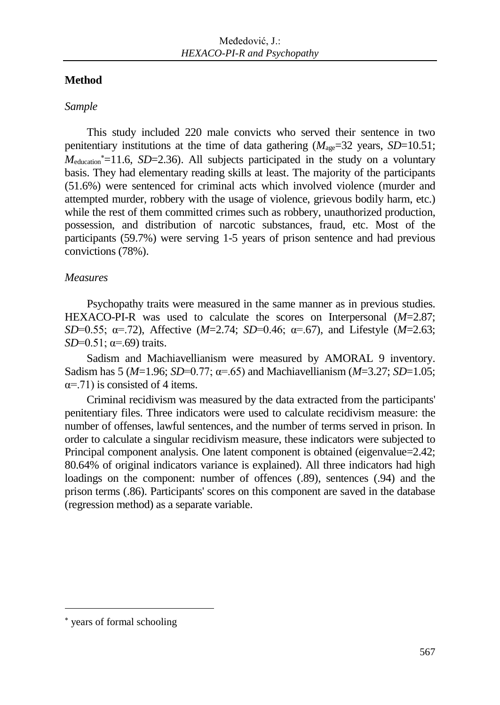## **Method**

## *Sample*

This study included 220 male convicts who served their sentence in two penitentiary institutions at the time of data gathering  $(M_{\text{age}}=32 \text{ years}, SD=10.51;$  $M_{\text{education}}$ <sup>\*</sup>=11.6, *SD*=2.36). All subjects participated in the study on a voluntary basis. They had elementary reading skills at least. The majority of the participants (51.6%) were sentenced for criminal acts which involved violence (murder and attempted murder, robbery with the usage of violence, grievous bodily harm, etc.) while the rest of them committed crimes such as robbery, unauthorized production, possession, and distribution of narcotic substances, fraud, etc. Most of the participants (59.7%) were serving 1-5 years of prison sentence and had previous convictions (78%).

## *Measures*

Psychopathy traits were measured in the same manner as in previous studies. HEXACO-PI-R was used to calculate the scores on Interpersonal (*M*=2.87; *SD*=0.55; α=.72), Affective (*M*=2.74; *SD*=0.46; α=.67), and Lifestyle (*M*=2.63; *SD*=0.51;  $\alpha$ =.69) traits.

Sadism and Machiavellianism were measured by AMORAL 9 inventory. Sadism has 5 ( $M=1.96$ ; *SD*=0.77;  $\alpha$ =.65) and Machiavellianism ( $M=3.27$ ; *SD*=1.05;  $\alpha$ =.71) is consisted of 4 items.

Criminal recidivism was measured by the data extracted from the participants' penitentiary files. Three indicators were used to calculate recidivism measure: the number of offenses, lawful sentences, and the number of terms served in prison. In order to calculate a singular recidivism measure, these indicators were subjected to Principal component analysis. One latent component is obtained (eigenvalue=2.42; 80.64% of original indicators variance is explained). All three indicators had high loadings on the component: number of offences (.89), sentences (.94) and the prison terms (.86). Participants' scores on this component are saved in the database (regression method) as a separate variable.

 $\ddot{\phantom{a}}$ 

<sup>\*</sup> years of formal schooling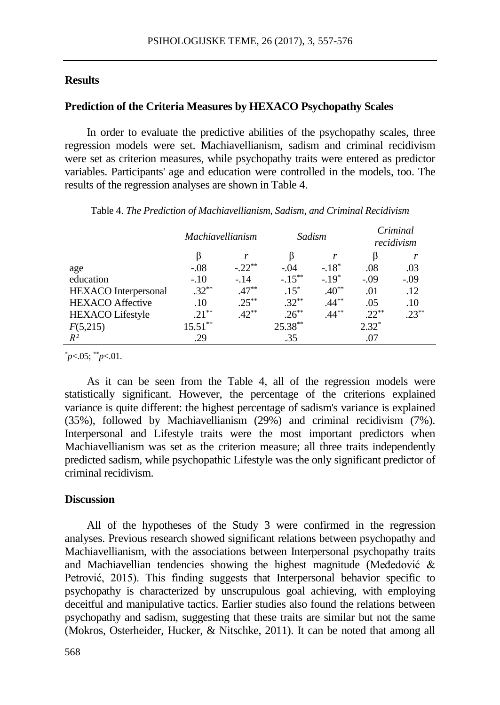## **Results**

### **Prediction of the Criteria Measures by HEXACO Psychopathy Scales**

In order to evaluate the predictive abilities of the psychopathy scales, three regression models were set. Machiavellianism, sadism and criminal recidivism were set as criterion measures, while psychopathy traits were entered as predictor variables. Participants' age and education were controlled in the models, too. The results of the regression analyses are shown in Table 4.

|                             | Machiavellianism |          | Sadism     |          | Criminal<br>recidivism |          |
|-----------------------------|------------------|----------|------------|----------|------------------------|----------|
|                             |                  | r        |            | r        |                        |          |
| age                         | $-.08$           | $-.22**$ | $-.04$     | $-.18*$  | .08                    | .03      |
| education                   | $-.10$           | $-.14$   | $-.15***$  | $-.19*$  | $-.09$                 | $-.09$   |
| <b>HEXACO</b> Interpersonal | $.32***$         | $.47***$ | $.15*$     | $.40**$  | .01                    | .12      |
| <b>HEXACO</b> Affective     | .10              | $.25***$ | $.32***$   | $.44***$ | .05                    | .10      |
| <b>HEXACO</b> Lifestyle     | $.21***$         | $.42***$ | $.26***$   | $.44***$ | $.22***$               | $.23***$ |
| F(5,215)                    | $15.51***$       |          | $25.38***$ |          | $2.32*$                |          |
| $R^2$                       | .29              |          | .35        |          | .07                    |          |

Table 4. *The Prediction of Machiavellianism, Sadism, and Criminal Recidivism*

 $*_{p<.05}$ ;  $*_{p<.01}$ .

As it can be seen from the Table 4, all of the regression models were statistically significant. However, the percentage of the criterions explained variance is quite different: the highest percentage of sadism's variance is explained (35%), followed by Machiavellianism (29%) and criminal recidivism (7%). Interpersonal and Lifestyle traits were the most important predictors when Machiavellianism was set as the criterion measure; all three traits independently predicted sadism, while psychopathic Lifestyle was the only significant predictor of criminal recidivism.

#### **Discussion**

All of the hypotheses of the Study 3 were confirmed in the regression analyses. Previous research showed significant relations between psychopathy and Machiavellianism, with the associations between Interpersonal psychopathy traits and Machiavellian tendencies showing the highest magnitude (Međedović & Petrović, 2015). This finding suggests that Interpersonal behavior specific to psychopathy is characterized by unscrupulous goal achieving, with employing deceitful and manipulative tactics. Earlier studies also found the relations between psychopathy and sadism, suggesting that these traits are similar but not the same (Mokros, Osterheider, Hucker, & Nitschke, 2011). It can be noted that among all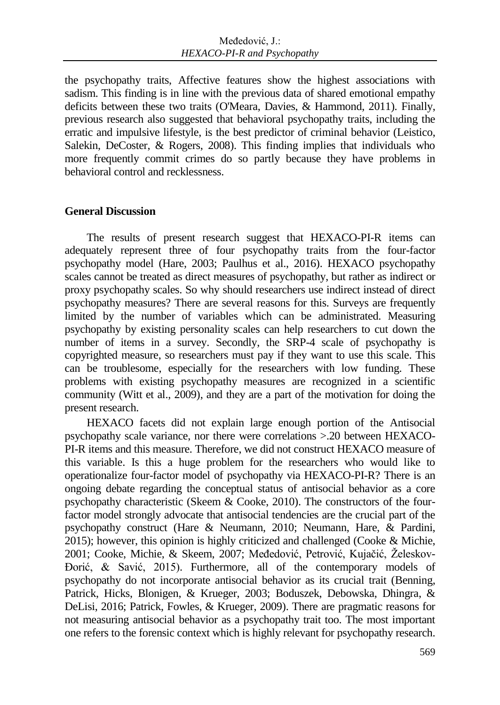the psychopathy traits, Affective features show the highest associations with sadism. This finding is in line with the previous data of shared emotional empathy deficits between these two traits (O'Meara, Davies, & Hammond, 2011). Finally, previous research also suggested that behavioral psychopathy traits, including the erratic and impulsive lifestyle, is the best predictor of criminal behavior (Leistico, Salekin, DeCoster, & Rogers, 2008). This finding implies that individuals who more frequently commit crimes do so partly because they have problems in behavioral control and recklessness.

## **General Discussion**

The results of present research suggest that HEXACO-PI-R items can adequately represent three of four psychopathy traits from the four-factor psychopathy model (Hare, 2003; Paulhus et al., 2016). HEXACO psychopathy scales cannot be treated as direct measures of psychopathy, but rather as indirect or proxy psychopathy scales. So why should researchers use indirect instead of direct psychopathy measures? There are several reasons for this. Surveys are frequently limited by the number of variables which can be administrated. Measuring psychopathy by existing personality scales can help researchers to cut down the number of items in a survey. Secondly, the SRP-4 scale of psychopathy is copyrighted measure, so researchers must pay if they want to use this scale. This can be troublesome, especially for the researchers with low funding. These problems with existing psychopathy measures are recognized in a scientific community (Witt et al., 2009), and they are a part of the motivation for doing the present research.

HEXACO facets did not explain large enough portion of the Antisocial psychopathy scale variance, nor there were correlations >.20 between HEXACO-PI-R items and this measure. Therefore, we did not construct HEXACO measure of this variable. Is this a huge problem for the researchers who would like to operationalize four-factor model of psychopathy via HEXACO-PI-R? There is an ongoing debate regarding the conceptual status of antisocial behavior as a core psychopathy characteristic (Skeem & Cooke, 2010). The constructors of the fourfactor model strongly advocate that antisocial tendencies are the crucial part of the psychopathy construct (Hare & Neumann, 2010; Neumann, Hare, & Pardini, 2015); however, this opinion is highly criticized and challenged (Cooke & Michie, 2001; Cooke, Michie, & Skeem, 2007; Međedović, Petrović, Kujačić, Želeskov-Đorić, & Savić, 2015). Furthermore, all of the contemporary models of psychopathy do not incorporate antisocial behavior as its crucial trait (Benning, Patrick, Hicks, Blonigen, & Krueger, 2003; Boduszek, Debowska, Dhingra, & DeLisi, 2016; Patrick, Fowles, & Krueger, 2009). There are pragmatic reasons for not measuring antisocial behavior as a psychopathy trait too. The most important one refers to the forensic context which is highly relevant for psychopathy research.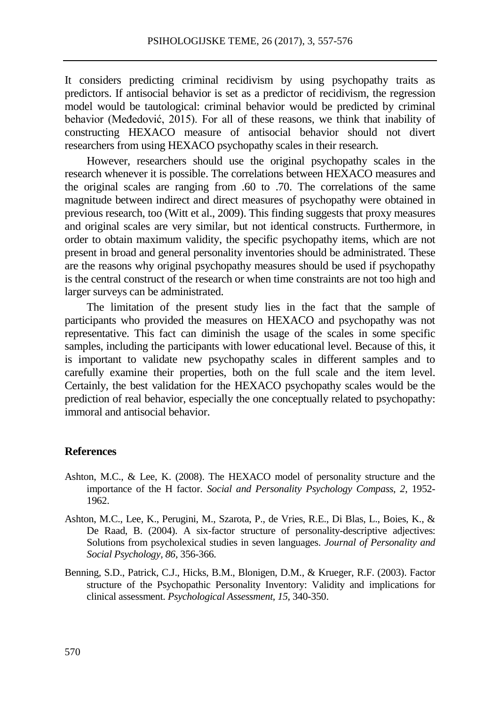It considers predicting criminal recidivism by using psychopathy traits as predictors. If antisocial behavior is set as a predictor of recidivism, the regression model would be tautological: criminal behavior would be predicted by criminal behavior (Međedović, 2015). For all of these reasons, we think that inability of constructing HEXACO measure of antisocial behavior should not divert researchers from using HEXACO psychopathy scales in their research.

However, researchers should use the original psychopathy scales in the research whenever it is possible. The correlations between HEXACO measures and the original scales are ranging from .60 to .70. The correlations of the same magnitude between indirect and direct measures of psychopathy were obtained in previous research, too (Witt et al., 2009). This finding suggests that proxy measures and original scales are very similar, but not identical constructs. Furthermore, in order to obtain maximum validity, the specific psychopathy items, which are not present in broad and general personality inventories should be administrated. These are the reasons why original psychopathy measures should be used if psychopathy is the central construct of the research or when time constraints are not too high and larger surveys can be administrated.

The limitation of the present study lies in the fact that the sample of participants who provided the measures on HEXACO and psychopathy was not representative. This fact can diminish the usage of the scales in some specific samples, including the participants with lower educational level. Because of this, it is important to validate new psychopathy scales in different samples and to carefully examine their properties, both on the full scale and the item level. Certainly, the best validation for the HEXACO psychopathy scales would be the prediction of real behavior, especially the one conceptually related to psychopathy: immoral and antisocial behavior.

#### **References**

- Ashton, M.C., & Lee, K. (2008). The HEXACO model of personality structure and the importance of the H factor. *Social and Personality Psychology Compass*, *2*, 1952- 1962.
- Ashton, M.C., Lee, K., Perugini, M., Szarota, P., de Vries, R.E., Di Blas, L., Boies, K., & De Raad, B. (2004). A six-factor structure of personality-descriptive adjectives: Solutions from psycholexical studies in seven languages. *Journal of Personality and Social Psychology, 86,* 356-366.
- Benning, S.D., Patrick, C.J., Hicks, B.M., Blonigen, D.M., & Krueger, R.F. (2003). Factor structure of the Psychopathic Personality Inventory: Validity and implications for clinical assessment. *Psychological Assessment, 15,* 340-350.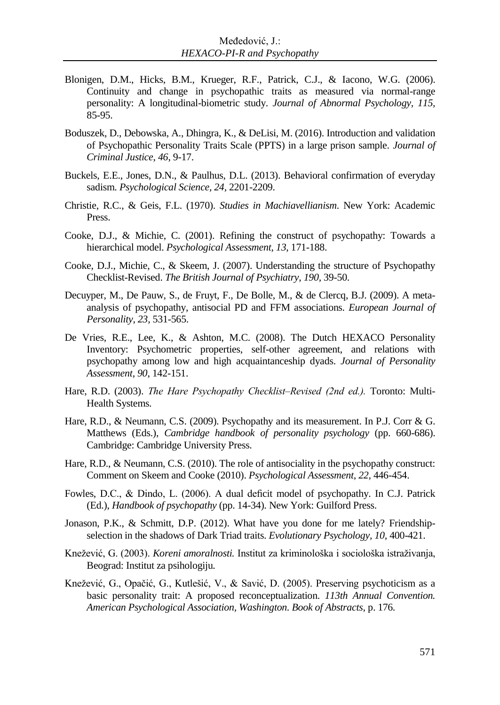- Blonigen, D.M., Hicks, B.M., Krueger, R.F., Patrick, C.J., & Iacono, W.G. (2006). Continuity and change in psychopathic traits as measured via normal-range personality: A longitudinal-biometric study. *Journal of Abnormal Psychology, 115,* 85-95.
- Boduszek, D., Debowska, A., Dhingra, K., & DeLisi, M. (2016). Introduction and validation of Psychopathic Personality Traits Scale (PPTS) in a large prison sample. *Journal of Criminal Justice*, *46*, 9-17.
- Buckels, E.E., Jones, D.N., & Paulhus, D.L. (2013). Behavioral confirmation of everyday sadism. *Psychological Science, 24,* 2201-2209.
- Christie, R.C., & Geis, F.L. (1970). *Studies in Machiavellianism*. New York: Academic Press.
- Cooke, D.J., & Michie, C. (2001). Refining the construct of psychopathy: Towards a hierarchical model. *Psychological Assessment*, *13*, 171-188.
- Cooke, D.J., Michie, C., & Skeem, J. (2007). Understanding the structure of Psychopathy Checklist-Revised. *The British Journal of Psychiatry, 190,* 39-50.
- Decuyper, M., De Pauw, S., de Fruyt, F., De Bolle, M., & de Clercq, B.J. (2009). A metaanalysis of psychopathy, antisocial PD and FFM associations. *European Journal of Personality*, *23,* 531-565.
- De Vries, R.E., Lee, K., & Ashton, M.C. (2008). The Dutch HEXACO Personality Inventory: Psychometric properties, self-other agreement, and relations with psychopathy among low and high acquaintanceship dyads. *Journal of Personality Assessment*, *90*, 142-151.
- Hare, R.D. (2003). *The Hare Psychopathy Checklist–Revised (2nd ed.)*. Toronto: Multi-Health Systems.
- Hare, R.D., & Neumann, C.S. (2009). Psychopathy and its measurement. In P.J. Corr & G. Matthews (Eds.), *Cambridge handbook of personality psychology* (pp. 660-686). Cambridge: Cambridge University Press.
- Hare, R.D., & Neumann, C.S. (2010). The role of antisociality in the psychopathy construct: Comment on Skeem and Cooke (2010). *Psychological Assessment, 22,* 446-454.
- Fowles, D.C., & Dindo, L. (2006). A dual deficit model of psychopathy. In C.J. Patrick (Ed.), *Handbook of psychopathy* (pp. 14-34). New York: Guilford Press.
- Jonason, P.K., & Schmitt, D.P. (2012). What have you done for me lately? Friendshipselection in the shadows of Dark Triad traits. *Evolutionary Psychology, 10,* 400-421.
- Knežević, G. (2003). *Koreni amoralnosti.* Institut za kriminološka i sociološka istraživanja, Beograd: Institut za psihologiju.
- Knežević, G., Opačić, G., Kutlešić, V., & Savić, D. (2005). Preserving psychoticism as a basic personality trait: A proposed reconceptualization. *113th Annual Convention. American Psychological Association, Washington. Book of Abstracts,* p. 176*.*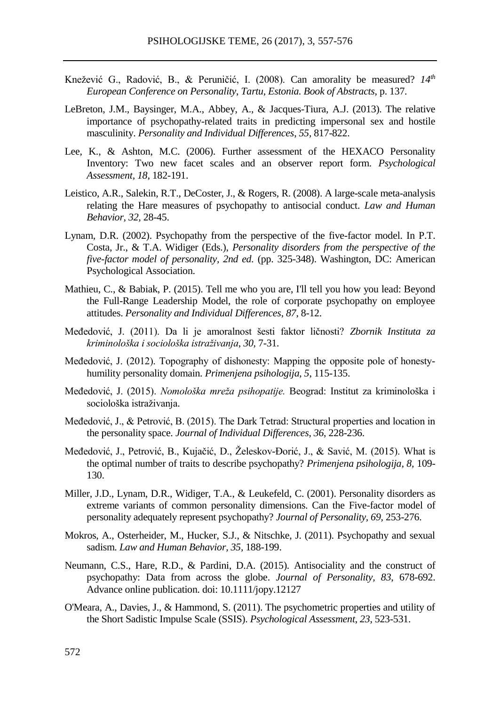- Knežević G., Radović, B., & Peruničić, I. (2008). Can amorality be measured? *14th European Conference on Personality*, *Tartu, Estonia. Book of Abstracts*, p. 137.
- LeBreton, J.M., Baysinger, M.A., Abbey, A., & Jacques-Tiura, A.J. (2013). The relative importance of psychopathy-related traits in predicting impersonal sex and hostile masculinity. *Personality and Individual Differences*, *55,* 817-822.
- Lee, K., & Ashton, M.C. (2006). Further assessment of the HEXACO Personality Inventory: Two new facet scales and an observer report form. *Psychological Assessment, 18,* 182-191.
- Leistico, A.R., Salekin, R.T., DeCoster, J., & Rogers, R. (2008). A large-scale meta-analysis relating the Hare measures of psychopathy to antisocial conduct. *Law and Human Behavior, 32,* 28-45.
- Lynam, D.R. (2002). Psychopathy from the perspective of the five-factor model. In P.T. Costa, Jr., & T.A. Widiger (Eds.), *Personality disorders from the perspective of the five-factor model of personality, 2nd ed.* (pp. 325-348). Washington, DC: American Psychological Association.
- Mathieu, C., & Babiak, P. (2015). Tell me who you are, I'll tell you how you lead: Beyond the Full-Range Leadership Model, the role of corporate psychopathy on employee attitudes. *Personality and Individual Differences*, *87*, 8-12.
- Međedović, J. (2011). Da li je amoralnost šesti faktor ličnosti? *Zbornik Instituta za kriminološka i sociološka istraživanja*, *30,* 7-31.
- Međedović, J. (2012). Topography of dishonesty: Mapping the opposite pole of honestyhumility personality domain. *Primenjena psihologija*, *5*, 115-135.
- Međedović, J. (2015). *Nomološka mreža psihopatije.* Beograd: Institut za kriminološka i sociološka istraživanja.
- Međedović, J., & Petrović, B. (2015). The Dark Tetrad: Structural properties and location in the personality space. *Journal of Individual Differences*, *36*, 228-236.
- Međedović, J., Petrović, B., Kujačić, D., Želeskov-Đorić, J., & Savić, M. (2015). What is the optimal number of traits to describe psychopathy? *Primenjena psihologija, 8,* 109- 130.
- Miller, J.D., Lynam, D.R., Widiger, T.A., & Leukefeld, C. (2001). Personality disorders as extreme variants of common personality dimensions. Can the Five-factor model of personality adequately represent psychopathy? *Journal of Personality, 69,* 253-276.
- Mokros, A., Osterheider, M., Hucker, S.J., & Nitschke, J. (2011). Psychopathy and sexual sadism. *Law and Human Behavior, 35,* 188-199.
- Neumann, C.S., Hare, R.D., & Pardini, D.A. (2015). Antisociality and the construct of psychopathy: Data from across the globe. *Journal of Personality, 83*, 678-692. Advance online publication. doi: 10.1111/jopy.12127
- O'Meara, A., Davies, J., & Hammond, S. (2011). The psychometric properties and utility of the Short Sadistic Impulse Scale (SSIS). *Psychological Assessment*, *23*, 523-531.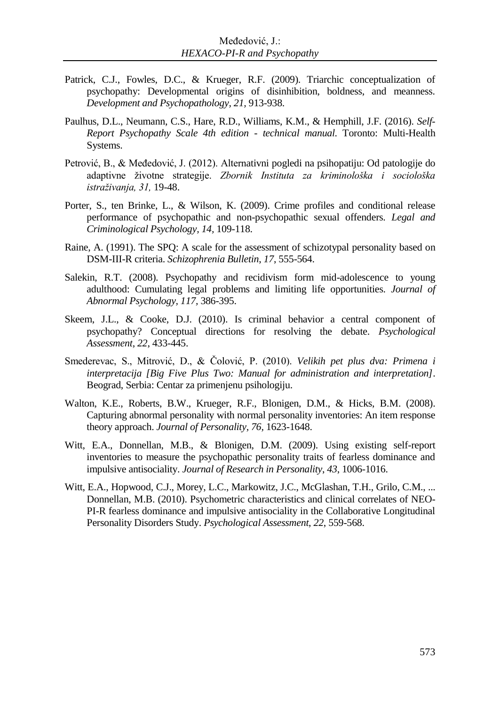- Patrick, C.J., Fowles, D.C., & Krueger, R.F. (2009). Triarchic conceptualization of psychopathy: Developmental origins of disinhibition, boldness, and meanness. *Development and Psychopathology, 21,* 913-938.
- Paulhus, D.L., Neumann, C.S., Hare, R.D., Williams, K.M., & Hemphill, J.F. (2016). *Self-Report Psychopathy Scale 4th edition - technical manual.* Toronto: Multi-Health Systems.
- Petrović, B., & Međedović, J. (2012). Alternativni pogledi na psihopatiju: Od patologije do adaptivne životne strategije. *Zbornik Instituta za kriminološka i sociološka istraživanja, 31,* 19-48.
- Porter, S., ten Brinke, L., & Wilson, K. (2009). Crime profiles and conditional release performance of psychopathic and non-psychopathic sexual offenders*. Legal and Criminological Psychology, 14,* 109-118.
- Raine, A. (1991). The SPQ: A scale for the assessment of schizotypal personality based on DSM-III-R criteria. *Schizophrenia Bulletin*, *17*, 555-564.
- Salekin, R.T. (2008). Psychopathy and recidivism form mid-adolescence to young adulthood: Cumulating legal problems and limiting life opportunities. *Journal of Abnormal Psychology, 117,* 386-395.
- Skeem, J.L., & Cooke, D.J. (2010). Is criminal behavior a central component of psychopathy? Conceptual directions for resolving the debate. *Psychological Assessment*, *22*, 433-445.
- Smederevac, S., Mitrović, D., & Čolović, P. (2010). *Velikih pet plus dva: Primena i interpretacija [Big Five Plus Two: Manual for administration and interpretation]*. Beograd, Serbia: Centar za primenjenu psihologiju.
- Walton, K.E., Roberts, B.W., Krueger, R.F., Blonigen, D.M., & Hicks, B.M. (2008). Capturing abnormal personality with normal personality inventories: An item response theory approach. *Journal of Personality, 76,* 1623-1648.
- Witt, E.A., Donnellan, M.B., & Blonigen, D.M. (2009). Using existing self-report inventories to measure the psychopathic personality traits of fearless dominance and impulsive antisociality. *Journal of Research in Personality*, *43*, 1006-1016.
- Witt, E.A., Hopwood, C.J., Morey, L.C., Markowitz, J.C., McGlashan, T.H., Grilo, C.M., ... Donnellan, M.B. (2010). Psychometric characteristics and clinical correlates of NEO-PI-R fearless dominance and impulsive antisociality in the Collaborative Longitudinal Personality Disorders Study. *Psychological Assessment*, *22*, 559-568.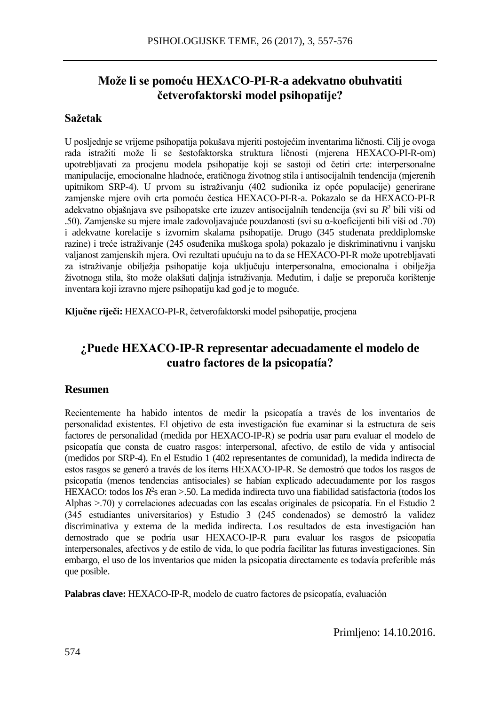## **Može li se pomoću HEXACO-PI-R-a adekvatno obuhvatiti četverofaktorski model psihopatije?**

## **Sažetak**

U posljednje se vrijeme psihopatija pokušava mjeriti postojećim inventarima ličnosti. Cilj je ovoga rada istražiti može li se šestofaktorska struktura ličnosti (mjerena HEXACO-PI-R-om) upotrebljavati za procjenu modela psihopatije koji se sastoji od četiri crte: interpersonalne manipulacije, emocionalne hladnoće, eratičnoga životnog stila i antisocijalnih tendencija (mjerenih upitnikom SRP-4). U prvom su istraživanju (402 sudionika iz opće populacije) generirane zamjenske mjere ovih crta pomoću čestica HEXACO-PI-R-a. Pokazalo se da HEXACO-PI-R adekvatno objašnjava sve psihopatske crte izuzev antisocijalnih tendencija (svi su *R* <sup>2</sup> bili viši od .50). Zamjenske su mjere imale zadovoljavajuće pouzdanosti (svi su α-koeficijenti bili viši od .70) i adekvatne korelacije s izvornim skalama psihopatije. Drugo (345 studenata preddiplomske razine) i treće istraživanje (245 osuđenika muškoga spola) pokazalo je diskriminativnu i vanjsku valjanost zamjenskih mjera. Ovi rezultati upućuju na to da se HEXACO-PI-R može upotrebljavati za istraživanje obilježja psihopatije koja uključuju interpersonalna, emocionalna i obilježja životnoga stila, što može olakšati daljnja istraživanja. Međutim, i dalje se preporuča korištenje inventara koji izravno mjere psihopatiju kad god je to moguće.

**Ključne riječi:** HEXACO-PI-R, četverofaktorski model psihopatije, procjena

## **¿Puede HEXACO-IP-R representar adecuadamente el modelo de cuatro factores de la psicopatía?**

## **Resumen**

Recientemente ha habido intentos de medir la psicopatía a través de los inventarios de personalidad existentes. El objetivo de esta investigación fue examinar si la estructura de seis factores de personalidad (medida por HEXACO-IP-R) se podría usar para evaluar el modelo de psicopatía que consta de cuatro rasgos: interpersonal, afectivo, de estilo de vida y antisocial (medidos por SRP-4). En el Estudio 1 (402 representantes de comunidad), la medida indirecta de estos rasgos se generó a través de los ítems HEXACO-IP-R. Se demostró que todos los rasgos de psicopatía (menos tendencias antisociales) se habían explicado adecuadamente por los rasgos HEXACO: todos los *R* 2 s eran >.50. La medida indirecta tuvo una fiabilidad satisfactoria (todos los Alphas >.70) y correlaciones adecuadas con las escalas originales de psicopatía. En el Estudio 2 (345 estudiantes universitarios) y Estudio 3 (245 condenados) se demostró la validez discriminativa y externa de la medida indirecta. Los resultados de esta investigación han demostrado que se podría usar HEXACO-IP-R para evaluar los rasgos de psicopatía interpersonales, afectivos y de estilo de vida, lo que podría facilitar las futuras investigaciones. Sin embargo, el uso de los inventarios que miden la psicopatía directamente es todavía preferible más que posible.

**Palabras clave:** HEXACO-IP-R, modelo de cuatro factores de psicopatía, evaluación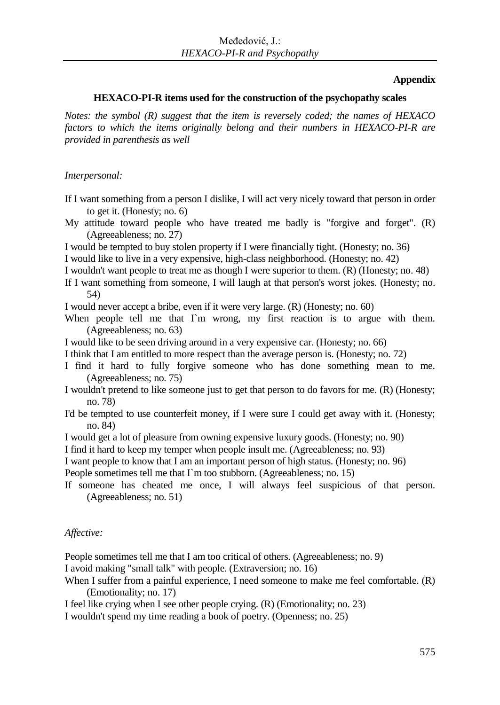#### **Appendix**

#### **HEXACO-PI-R items used for the construction of the psychopathy scales**

*Notes: the symbol (R) suggest that the item is reversely coded; the names of HEXACO factors to which the items originally belong and their numbers in HEXACO-PI-R are provided in parenthesis as well*

*Interpersonal:*

- If I want something from a person I dislike, I will act very nicely toward that person in order to get it. (Honesty; no. 6)
- My attitude toward people who have treated me badly is "forgive and forget". (R) (Agreeableness; no. 27)
- I would be tempted to buy stolen property if I were financially tight. (Honesty; no. 36)
- I would like to live in a very expensive, high-class neighborhood. (Honesty; no. 42)
- I wouldn't want people to treat me as though I were superior to them. (R) (Honesty; no. 48)
- If I want something from someone, I will laugh at that person's worst jokes. (Honesty; no. 54)
- I would never accept a bribe, even if it were very large. (R) (Honesty; no. 60)
- When people tell me that  $\Gamma$ m wrong, my first reaction is to argue with them. (Agreeableness; no. 63)
- I would like to be seen driving around in a very expensive car. (Honesty; no. 66)
- I think that I am entitled to more respect than the average person is. (Honesty; no. 72)
- I find it hard to fully forgive someone who has done something mean to me. (Agreeableness; no. 75)
- I wouldn't pretend to like someone just to get that person to do favors for me. (R) (Honesty; no. 78)
- I'd be tempted to use counterfeit money, if I were sure I could get away with it. (Honesty; no. 84)
- I would get a lot of pleasure from owning expensive luxury goods. (Honesty; no. 90)
- I find it hard to keep my temper when people insult me. (Agreeableness; no. 93)
- I want people to know that I am an important person of high status. (Honesty; no. 96)
- People sometimes tell me that  $\Gamma$ m too stubborn. (Agreeableness; no. 15)
- If someone has cheated me once, I will always feel suspicious of that person. (Agreeableness; no. 51)

#### *Affective:*

- People sometimes tell me that I am too critical of others. (Agreeableness; no. 9)
- I avoid making "small talk" with people. (Extraversion; no. 16)
- When I suffer from a painful experience, I need someone to make me feel comfortable. (R) (Emotionality; no. 17)
- I feel like crying when I see other people crying. (R) (Emotionality; no. 23)
- I wouldn't spend my time reading a book of poetry. (Openness; no. 25)